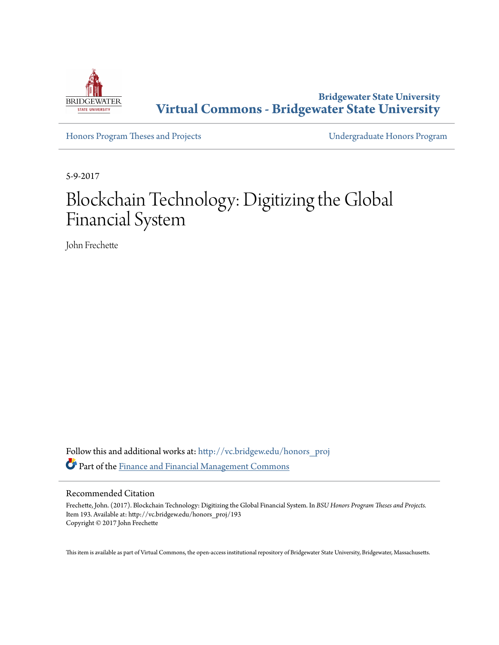

**Bridgewater State University [Virtual Commons - Bridgewater State University](http://vc.bridgew.edu?utm_source=vc.bridgew.edu%2Fhonors_proj%2F193&utm_medium=PDF&utm_campaign=PDFCoverPages)**

[Honors Program Theses and Projects](http://vc.bridgew.edu/honors_proj?utm_source=vc.bridgew.edu%2Fhonors_proj%2F193&utm_medium=PDF&utm_campaign=PDFCoverPages) [Undergraduate Honors Program](http://vc.bridgew.edu/honors?utm_source=vc.bridgew.edu%2Fhonors_proj%2F193&utm_medium=PDF&utm_campaign=PDFCoverPages)

5-9-2017

# Blockchain Technology: Digitizing the Global Financial System

John Frechette

Follow this and additional works at: [http://vc.bridgew.edu/honors\\_proj](http://vc.bridgew.edu/honors_proj?utm_source=vc.bridgew.edu%2Fhonors_proj%2F193&utm_medium=PDF&utm_campaign=PDFCoverPages) Part of the [Finance and Financial Management Commons](http://network.bepress.com/hgg/discipline/631?utm_source=vc.bridgew.edu%2Fhonors_proj%2F193&utm_medium=PDF&utm_campaign=PDFCoverPages)

# Recommended Citation

Frechette, John. (2017). Blockchain Technology: Digitizing the Global Financial System. In *BSU Honors Program Theses and Projects.* Item 193. Available at: http://vc.bridgew.edu/honors\_proj/193 Copyright © 2017 John Frechette

This item is available as part of Virtual Commons, the open-access institutional repository of Bridgewater State University, Bridgewater, Massachusetts.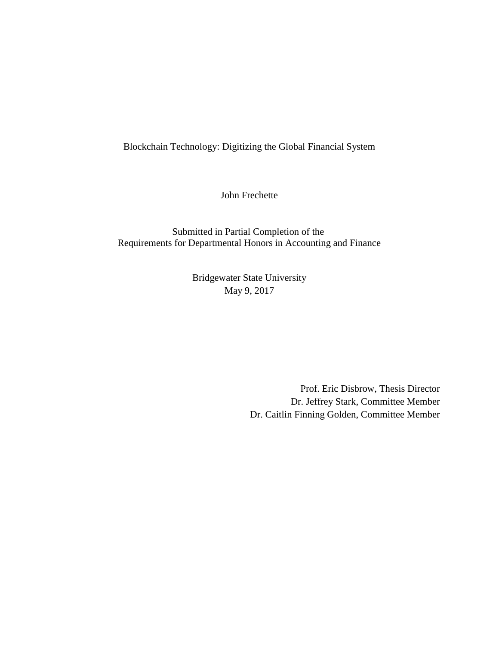Blockchain Technology: Digitizing the Global Financial System

John Frechette

Submitted in Partial Completion of the Requirements for Departmental Honors in Accounting and Finance

> Bridgewater State University May 9, 2017

> > Prof. Eric Disbrow, Thesis Director Dr. Jeffrey Stark, Committee Member Dr. Caitlin Finning Golden, Committee Member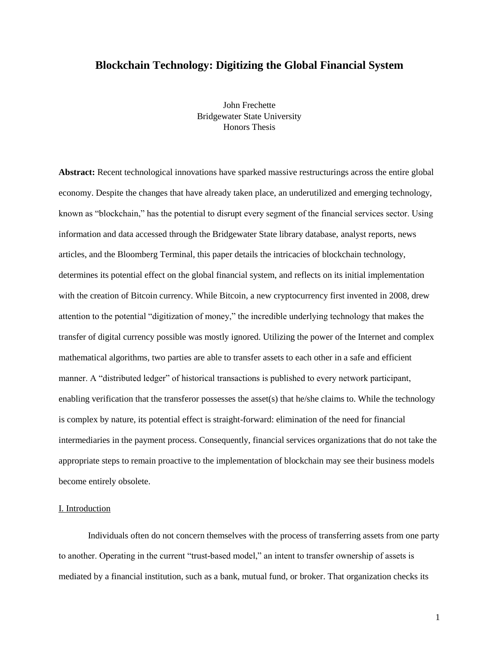# **Blockchain Technology: Digitizing the Global Financial System**

John Frechette Bridgewater State University Honors Thesis

**Abstract:** Recent technological innovations have sparked massive restructurings across the entire global economy. Despite the changes that have already taken place, an underutilized and emerging technology, known as "blockchain," has the potential to disrupt every segment of the financial services sector. Using information and data accessed through the Bridgewater State library database, analyst reports, news articles, and the Bloomberg Terminal, this paper details the intricacies of blockchain technology, determines its potential effect on the global financial system, and reflects on its initial implementation with the creation of Bitcoin currency. While Bitcoin, a new cryptocurrency first invented in 2008, drew attention to the potential "digitization of money," the incredible underlying technology that makes the transfer of digital currency possible was mostly ignored. Utilizing the power of the Internet and complex mathematical algorithms, two parties are able to transfer assets to each other in a safe and efficient manner. A "distributed ledger" of historical transactions is published to every network participant, enabling verification that the transferor possesses the asset(s) that he/she claims to. While the technology is complex by nature, its potential effect is straight-forward: elimination of the need for financial intermediaries in the payment process. Consequently, financial services organizations that do not take the appropriate steps to remain proactive to the implementation of blockchain may see their business models become entirely obsolete.

# I. Introduction

Individuals often do not concern themselves with the process of transferring assets from one party to another. Operating in the current "trust-based model," an intent to transfer ownership of assets is mediated by a financial institution, such as a bank, mutual fund, or broker. That organization checks its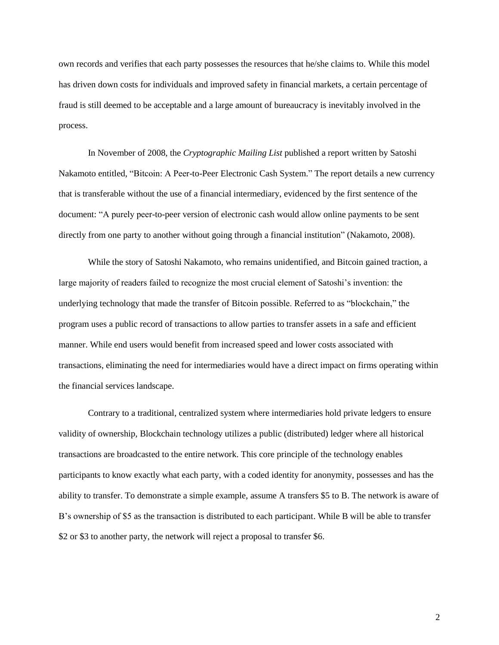own records and verifies that each party possesses the resources that he/she claims to. While this model has driven down costs for individuals and improved safety in financial markets, a certain percentage of fraud is still deemed to be acceptable and a large amount of bureaucracy is inevitably involved in the process.

In November of 2008, the *Cryptographic Mailing List* published a report written by Satoshi Nakamoto entitled, "Bitcoin: A Peer-to-Peer Electronic Cash System." The report details a new currency that is transferable without the use of a financial intermediary, evidenced by the first sentence of the document: "A purely peer-to-peer version of electronic cash would allow online payments to be sent directly from one party to another without going through a financial institution" (Nakamoto, 2008).

While the story of Satoshi Nakamoto, who remains unidentified, and Bitcoin gained traction, a large majority of readers failed to recognize the most crucial element of Satoshi's invention: the underlying technology that made the transfer of Bitcoin possible. Referred to as "blockchain," the program uses a public record of transactions to allow parties to transfer assets in a safe and efficient manner. While end users would benefit from increased speed and lower costs associated with transactions, eliminating the need for intermediaries would have a direct impact on firms operating within the financial services landscape.

Contrary to a traditional, centralized system where intermediaries hold private ledgers to ensure validity of ownership, Blockchain technology utilizes a public (distributed) ledger where all historical transactions are broadcasted to the entire network. This core principle of the technology enables participants to know exactly what each party, with a coded identity for anonymity, possesses and has the ability to transfer. To demonstrate a simple example, assume A transfers \$5 to B. The network is aware of B's ownership of \$5 as the transaction is distributed to each participant. While B will be able to transfer \$2 or \$3 to another party, the network will reject a proposal to transfer \$6.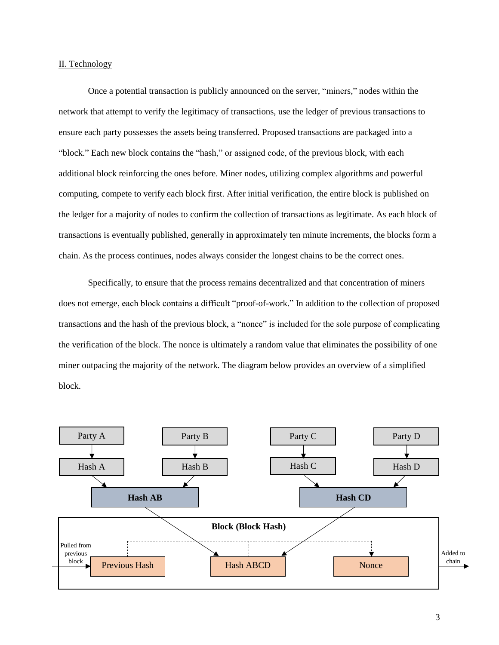# II. Technology

Once a potential transaction is publicly announced on the server, "miners," nodes within the network that attempt to verify the legitimacy of transactions, use the ledger of previous transactions to ensure each party possesses the assets being transferred. Proposed transactions are packaged into a "block." Each new block contains the "hash," or assigned code, of the previous block, with each additional block reinforcing the ones before. Miner nodes, utilizing complex algorithms and powerful computing, compete to verify each block first. After initial verification, the entire block is published on the ledger for a majority of nodes to confirm the collection of transactions as legitimate. As each block of transactions is eventually published, generally in approximately ten minute increments, the blocks form a chain. As the process continues, nodes always consider the longest chains to be the correct ones.

Specifically, to ensure that the process remains decentralized and that concentration of miners does not emerge, each block contains a difficult "proof-of-work." In addition to the collection of proposed transactions and the hash of the previous block, a "nonce" is included for the sole purpose of complicating the verification of the block. The nonce is ultimately a random value that eliminates the possibility of one miner outpacing the majority of the network. The diagram below provides an overview of a simplified block.

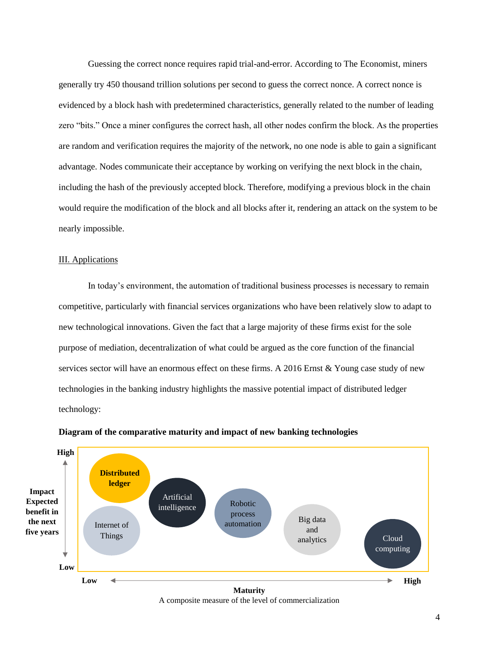Guessing the correct nonce requires rapid trial-and-error. According to The Economist, miners generally try 450 thousand trillion solutions per second to guess the correct nonce. A correct nonce is evidenced by a block hash with predetermined characteristics, generally related to the number of leading zero "bits." Once a miner configures the correct hash, all other nodes confirm the block. As the properties are random and verification requires the majority of the network, no one node is able to gain a significant advantage. Nodes communicate their acceptance by working on verifying the next block in the chain, including the hash of the previously accepted block. Therefore, modifying a previous block in the chain would require the modification of the block and all blocks after it, rendering an attack on the system to be nearly impossible.

# III. Applications

In today's environment, the automation of traditional business processes is necessary to remain competitive, particularly with financial services organizations who have been relatively slow to adapt to new technological innovations. Given the fact that a large majority of these firms exist for the sole purpose of mediation, decentralization of what could be argued as the core function of the financial services sector will have an enormous effect on these firms. A 2016 Ernst & Young case study of new technologies in the banking industry highlights the massive potential impact of distributed ledger technology:



#### **Diagram of the comparative maturity and impact of new banking technologies**

A composite measure of the level of commercialization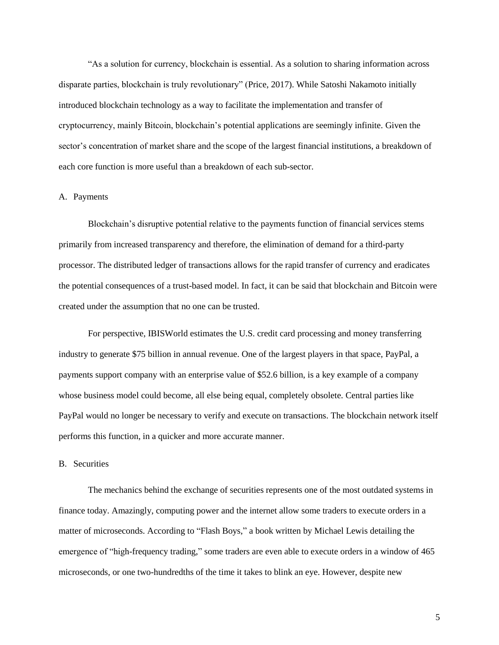"As a solution for currency, blockchain is essential. As a solution to sharing information across disparate parties, blockchain is truly revolutionary" (Price, 2017). While Satoshi Nakamoto initially introduced blockchain technology as a way to facilitate the implementation and transfer of cryptocurrency, mainly Bitcoin, blockchain's potential applications are seemingly infinite. Given the sector's concentration of market share and the scope of the largest financial institutions, a breakdown of each core function is more useful than a breakdown of each sub-sector.

# A. Payments

Blockchain's disruptive potential relative to the payments function of financial services stems primarily from increased transparency and therefore, the elimination of demand for a third-party processor. The distributed ledger of transactions allows for the rapid transfer of currency and eradicates the potential consequences of a trust-based model. In fact, it can be said that blockchain and Bitcoin were created under the assumption that no one can be trusted.

For perspective, IBISWorld estimates the U.S. credit card processing and money transferring industry to generate \$75 billion in annual revenue. One of the largest players in that space, PayPal, a payments support company with an enterprise value of \$52.6 billion, is a key example of a company whose business model could become, all else being equal, completely obsolete. Central parties like PayPal would no longer be necessary to verify and execute on transactions. The blockchain network itself performs this function, in a quicker and more accurate manner.

#### B. Securities

The mechanics behind the exchange of securities represents one of the most outdated systems in finance today. Amazingly, computing power and the internet allow some traders to execute orders in a matter of microseconds. According to "Flash Boys," a book written by Michael Lewis detailing the emergence of "high-frequency trading," some traders are even able to execute orders in a window of 465 microseconds, or one two-hundredths of the time it takes to blink an eye. However, despite new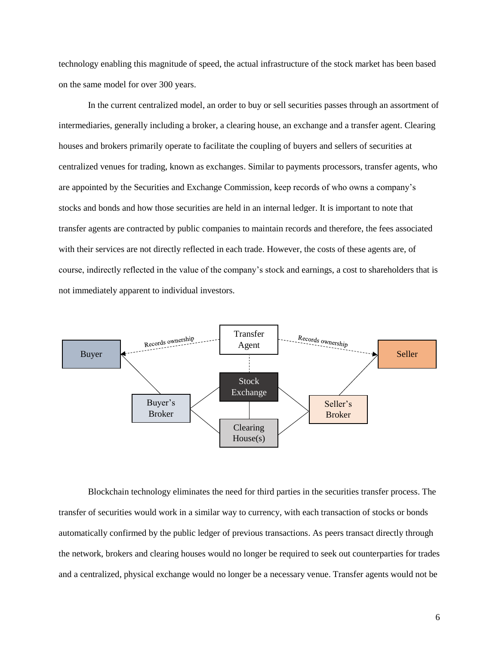technology enabling this magnitude of speed, the actual infrastructure of the stock market has been based on the same model for over 300 years.

In the current centralized model, an order to buy or sell securities passes through an assortment of intermediaries, generally including a broker, a clearing house, an exchange and a transfer agent. Clearing houses and brokers primarily operate to facilitate the coupling of buyers and sellers of securities at centralized venues for trading, known as exchanges. Similar to payments processors, transfer agents, who are appointed by the Securities and Exchange Commission, keep records of who owns a company's stocks and bonds and how those securities are held in an internal ledger. It is important to note that transfer agents are contracted by public companies to maintain records and therefore, the fees associated with their services are not directly reflected in each trade. However, the costs of these agents are, of course, indirectly reflected in the value of the company's stock and earnings, a cost to shareholders that is not immediately apparent to individual investors.



Blockchain technology eliminates the need for third parties in the securities transfer process. The transfer of securities would work in a similar way to currency, with each transaction of stocks or bonds automatically confirmed by the public ledger of previous transactions. As peers transact directly through the network, brokers and clearing houses would no longer be required to seek out counterparties for trades and a centralized, physical exchange would no longer be a necessary venue. Transfer agents would not be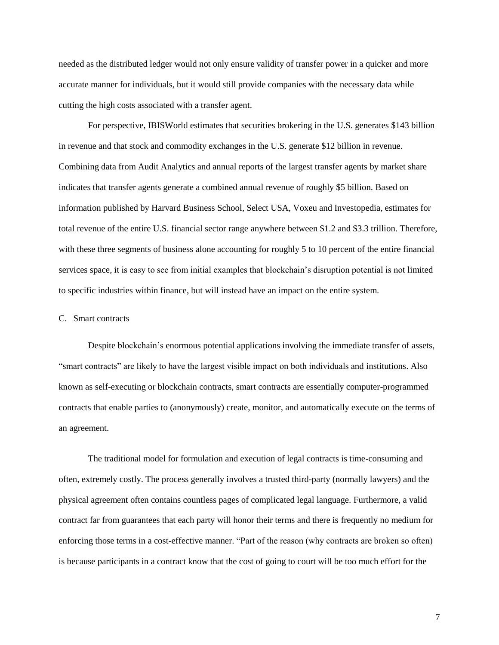needed as the distributed ledger would not only ensure validity of transfer power in a quicker and more accurate manner for individuals, but it would still provide companies with the necessary data while cutting the high costs associated with a transfer agent.

For perspective, IBISWorld estimates that securities brokering in the U.S. generates \$143 billion in revenue and that stock and commodity exchanges in the U.S. generate \$12 billion in revenue. Combining data from Audit Analytics and annual reports of the largest transfer agents by market share indicates that transfer agents generate a combined annual revenue of roughly \$5 billion. Based on information published by Harvard Business School, Select USA, Voxeu and Investopedia, estimates for total revenue of the entire U.S. financial sector range anywhere between \$1.2 and \$3.3 trillion. Therefore, with these three segments of business alone accounting for roughly 5 to 10 percent of the entire financial services space, it is easy to see from initial examples that blockchain's disruption potential is not limited to specific industries within finance, but will instead have an impact on the entire system.

# C. Smart contracts

Despite blockchain's enormous potential applications involving the immediate transfer of assets, "smart contracts" are likely to have the largest visible impact on both individuals and institutions. Also known as self-executing or blockchain contracts, smart contracts are essentially computer-programmed contracts that enable parties to (anonymously) create, monitor, and automatically execute on the terms of an agreement.

The traditional model for formulation and execution of legal contracts is time-consuming and often, extremely costly. The process generally involves a trusted third-party (normally lawyers) and the physical agreement often contains countless pages of complicated legal language. Furthermore, a valid contract far from guarantees that each party will honor their terms and there is frequently no medium for enforcing those terms in a cost-effective manner. "Part of the reason (why contracts are broken so often) is because participants in a contract know that the cost of going to court will be too much effort for the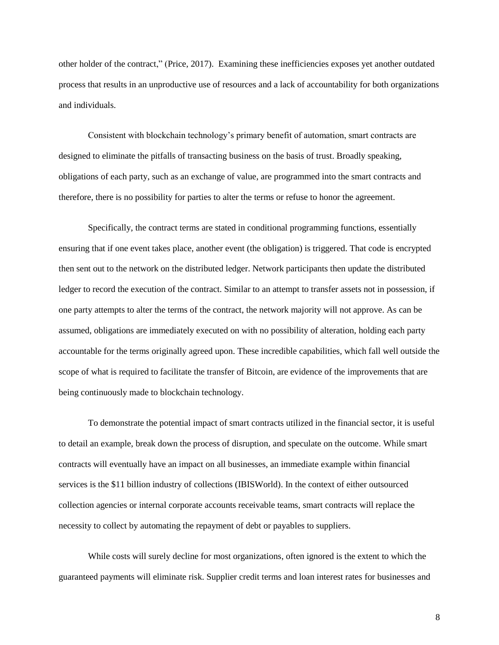other holder of the contract," (Price, 2017). Examining these inefficiencies exposes yet another outdated process that results in an unproductive use of resources and a lack of accountability for both organizations and individuals.

Consistent with blockchain technology's primary benefit of automation, smart contracts are designed to eliminate the pitfalls of transacting business on the basis of trust. Broadly speaking, obligations of each party, such as an exchange of value, are programmed into the smart contracts and therefore, there is no possibility for parties to alter the terms or refuse to honor the agreement.

Specifically, the contract terms are stated in conditional programming functions, essentially ensuring that if one event takes place, another event (the obligation) is triggered. That code is encrypted then sent out to the network on the distributed ledger. Network participants then update the distributed ledger to record the execution of the contract. Similar to an attempt to transfer assets not in possession, if one party attempts to alter the terms of the contract, the network majority will not approve. As can be assumed, obligations are immediately executed on with no possibility of alteration, holding each party accountable for the terms originally agreed upon. These incredible capabilities, which fall well outside the scope of what is required to facilitate the transfer of Bitcoin, are evidence of the improvements that are being continuously made to blockchain technology.

To demonstrate the potential impact of smart contracts utilized in the financial sector, it is useful to detail an example, break down the process of disruption, and speculate on the outcome. While smart contracts will eventually have an impact on all businesses, an immediate example within financial services is the \$11 billion industry of collections (IBISWorld). In the context of either outsourced collection agencies or internal corporate accounts receivable teams, smart contracts will replace the necessity to collect by automating the repayment of debt or payables to suppliers.

While costs will surely decline for most organizations, often ignored is the extent to which the guaranteed payments will eliminate risk. Supplier credit terms and loan interest rates for businesses and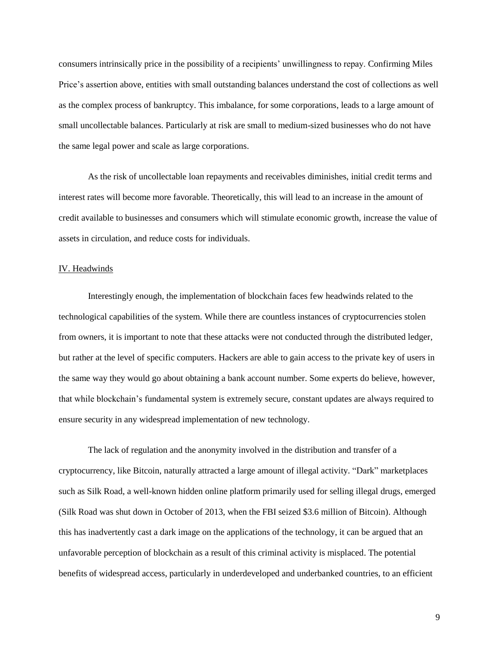consumers intrinsically price in the possibility of a recipients' unwillingness to repay. Confirming Miles Price's assertion above, entities with small outstanding balances understand the cost of collections as well as the complex process of bankruptcy. This imbalance, for some corporations, leads to a large amount of small uncollectable balances. Particularly at risk are small to medium-sized businesses who do not have the same legal power and scale as large corporations.

As the risk of uncollectable loan repayments and receivables diminishes, initial credit terms and interest rates will become more favorable. Theoretically, this will lead to an increase in the amount of credit available to businesses and consumers which will stimulate economic growth, increase the value of assets in circulation, and reduce costs for individuals.

#### IV. Headwinds

Interestingly enough, the implementation of blockchain faces few headwinds related to the technological capabilities of the system. While there are countless instances of cryptocurrencies stolen from owners, it is important to note that these attacks were not conducted through the distributed ledger, but rather at the level of specific computers. Hackers are able to gain access to the private key of users in the same way they would go about obtaining a bank account number. Some experts do believe, however, that while blockchain's fundamental system is extremely secure, constant updates are always required to ensure security in any widespread implementation of new technology.

The lack of regulation and the anonymity involved in the distribution and transfer of a cryptocurrency, like Bitcoin, naturally attracted a large amount of illegal activity. "Dark" marketplaces such as Silk Road, a well-known hidden online platform primarily used for selling illegal drugs, emerged (Silk Road was shut down in October of 2013, when the FBI seized \$3.6 million of Bitcoin). Although this has inadvertently cast a dark image on the applications of the technology, it can be argued that an unfavorable perception of blockchain as a result of this criminal activity is misplaced. The potential benefits of widespread access, particularly in underdeveloped and underbanked countries, to an efficient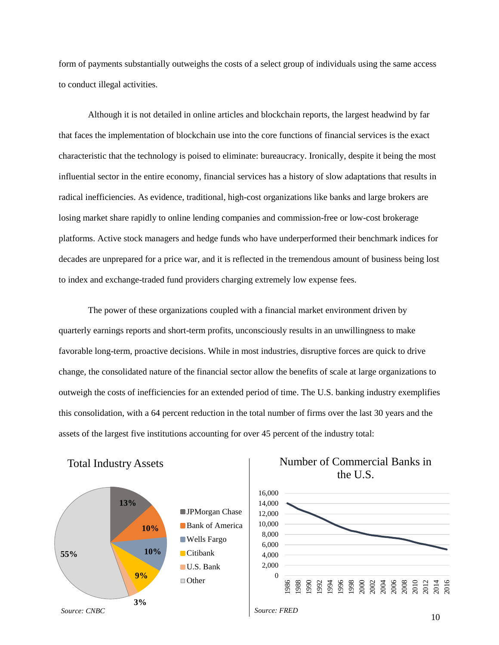form of payments substantially outweighs the costs of a select group of individuals using the same access to conduct illegal activities.

Although it is not detailed in online articles and blockchain reports, the largest headwind by far that faces the implementation of blockchain use into the core functions of financial services is the exact characteristic that the technology is poised to eliminate: bureaucracy. Ironically, despite it being the most influential sector in the entire economy, financial services has a history of slow adaptations that results in radical inefficiencies. As evidence, traditional, high-cost organizations like banks and large brokers are losing market share rapidly to online lending companies and commission-free or low-cost brokerage platforms. Active stock managers and hedge funds who have underperformed their benchmark indices for decades are unprepared for a price war, and it is reflected in the tremendous amount of business being lost to index and exchange-traded fund providers charging extremely low expense fees.

The power of these organizations coupled with a financial market environment driven by quarterly earnings reports and short-term profits, unconsciously results in an unwillingness to make favorable long-term, proactive decisions. While in most industries, disruptive forces are quick to drive change, the consolidated nature of the financial sector allow the benefits of scale at large organizations to outweigh the costs of inefficiencies for an extended period of time. The U.S. banking industry exemplifies this consolidation, with a 64 percent reduction in the total number of firms over the last 30 years and the assets of the largest five institutions accounting for over 45 percent of the industry total:



Total Industry Assets

# Number of Commercial Banks in the U.S.

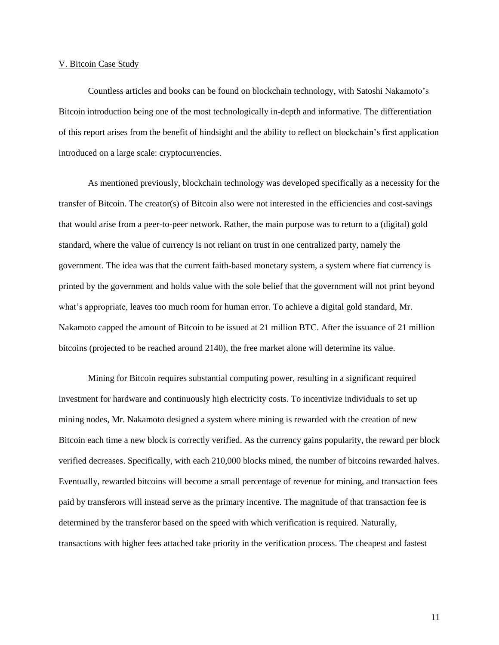#### V. Bitcoin Case Study

Countless articles and books can be found on blockchain technology, with Satoshi Nakamoto's Bitcoin introduction being one of the most technologically in-depth and informative. The differentiation of this report arises from the benefit of hindsight and the ability to reflect on blockchain's first application introduced on a large scale: cryptocurrencies.

As mentioned previously, blockchain technology was developed specifically as a necessity for the transfer of Bitcoin. The creator(s) of Bitcoin also were not interested in the efficiencies and cost-savings that would arise from a peer-to-peer network. Rather, the main purpose was to return to a (digital) gold standard, where the value of currency is not reliant on trust in one centralized party, namely the government. The idea was that the current faith-based monetary system, a system where fiat currency is printed by the government and holds value with the sole belief that the government will not print beyond what's appropriate, leaves too much room for human error. To achieve a digital gold standard, Mr. Nakamoto capped the amount of Bitcoin to be issued at 21 million BTC. After the issuance of 21 million bitcoins (projected to be reached around 2140), the free market alone will determine its value.

Mining for Bitcoin requires substantial computing power, resulting in a significant required investment for hardware and continuously high electricity costs. To incentivize individuals to set up mining nodes, Mr. Nakamoto designed a system where mining is rewarded with the creation of new Bitcoin each time a new block is correctly verified. As the currency gains popularity, the reward per block verified decreases. Specifically, with each 210,000 blocks mined, the number of bitcoins rewarded halves. Eventually, rewarded bitcoins will become a small percentage of revenue for mining, and transaction fees paid by transferors will instead serve as the primary incentive. The magnitude of that transaction fee is determined by the transferor based on the speed with which verification is required. Naturally, transactions with higher fees attached take priority in the verification process. The cheapest and fastest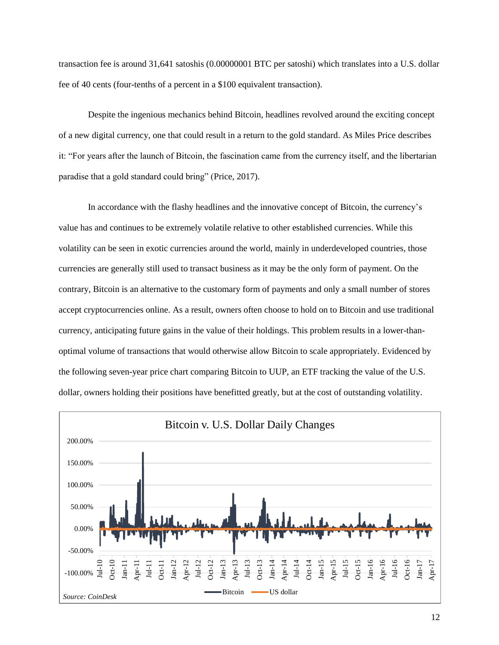transaction fee is around 31,641 satoshis (0.00000001 BTC per satoshi) which translates into a U.S. dollar fee of 40 cents (four-tenths of a percent in a \$100 equivalent transaction).

Despite the ingenious mechanics behind Bitcoin, headlines revolved around the exciting concept of a new digital currency, one that could result in a return to the gold standard. As Miles Price describes it: "For years after the launch of Bitcoin, the fascination came from the currency itself, and the libertarian paradise that a gold standard could bring" (Price, 2017).

In accordance with the flashy headlines and the innovative concept of Bitcoin, the currency's value has and continues to be extremely volatile relative to other established currencies. While this volatility can be seen in exotic currencies around the world, mainly in underdeveloped countries, those currencies are generally still used to transact business as it may be the only form of payment. On the contrary, Bitcoin is an alternative to the customary form of payments and only a small number of stores accept cryptocurrencies online. As a result, owners often choose to hold on to Bitcoin and use traditional currency, anticipating future gains in the value of their holdings. This problem results in a lower-thanoptimal volume of transactions that would otherwise allow Bitcoin to scale appropriately. Evidenced by the following seven-year price chart comparing Bitcoin to UUP, an ETF tracking the value of the U.S. dollar, owners holding their positions have benefitted greatly, but at the cost of outstanding volatility.

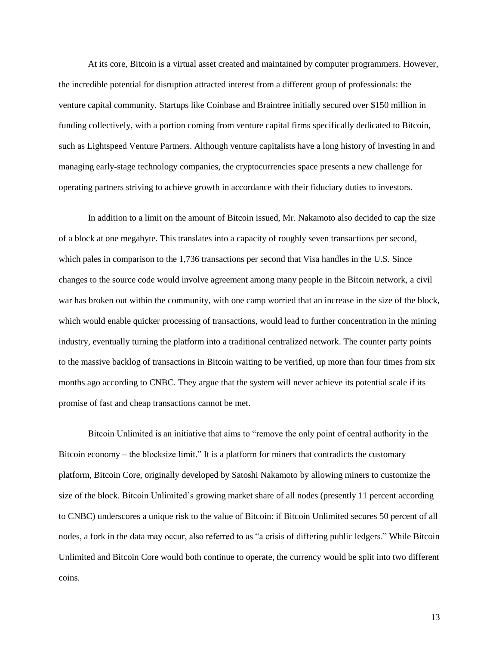At its core, Bitcoin is a virtual asset created and maintained by computer programmers. However, the incredible potential for disruption attracted interest from a different group of professionals: the venture capital community. Startups like Coinbase and Braintree initially secured over \$150 million in funding collectively, with a portion coming from venture capital firms specifically dedicated to Bitcoin, such as Lightspeed Venture Partners. Although venture capitalists have a long history of investing in and managing early-stage technology companies, the cryptocurrencies space presents a new challenge for operating partners striving to achieve growth in accordance with their fiduciary duties to investors.

In addition to a limit on the amount of Bitcoin issued, Mr. Nakamoto also decided to cap the size of a block at one megabyte. This translates into a capacity of roughly seven transactions per second, which pales in comparison to the 1,736 transactions per second that Visa handles in the U.S. Since changes to the source code would involve agreement among many people in the Bitcoin network, a civil war has broken out within the community, with one camp worried that an increase in the size of the block, which would enable quicker processing of transactions, would lead to further concentration in the mining industry, eventually turning the platform into a traditional centralized network. The counter party points to the massive backlog of transactions in Bitcoin waiting to be verified, up more than four times from six months ago according to CNBC. They argue that the system will never achieve its potential scale if its promise of fast and cheap transactions cannot be met.

Bitcoin Unlimited is an initiative that aims to "remove the only point of central authority in the Bitcoin economy – the blocksize limit." It is a platform for miners that contradicts the customary platform, Bitcoin Core, originally developed by Satoshi Nakamoto by allowing miners to customize the size of the block. Bitcoin Unlimited's growing market share of all nodes (presently 11 percent according to CNBC) underscores a unique risk to the value of Bitcoin: if Bitcoin Unlimited secures 50 percent of all nodes, a fork in the data may occur, also referred to as "a crisis of differing public ledgers." While Bitcoin Unlimited and Bitcoin Core would both continue to operate, the currency would be split into two different coins.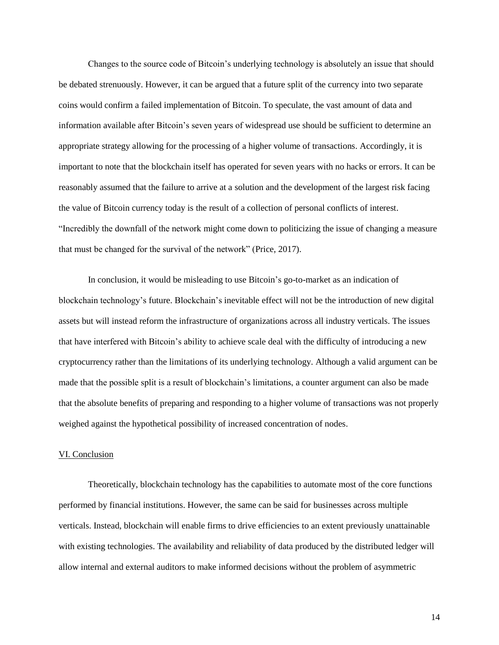Changes to the source code of Bitcoin's underlying technology is absolutely an issue that should be debated strenuously. However, it can be argued that a future split of the currency into two separate coins would confirm a failed implementation of Bitcoin. To speculate, the vast amount of data and information available after Bitcoin's seven years of widespread use should be sufficient to determine an appropriate strategy allowing for the processing of a higher volume of transactions. Accordingly, it is important to note that the blockchain itself has operated for seven years with no hacks or errors. It can be reasonably assumed that the failure to arrive at a solution and the development of the largest risk facing the value of Bitcoin currency today is the result of a collection of personal conflicts of interest. "Incredibly the downfall of the network might come down to politicizing the issue of changing a measure that must be changed for the survival of the network" (Price, 2017).

In conclusion, it would be misleading to use Bitcoin's go-to-market as an indication of blockchain technology's future. Blockchain's inevitable effect will not be the introduction of new digital assets but will instead reform the infrastructure of organizations across all industry verticals. The issues that have interfered with Bitcoin's ability to achieve scale deal with the difficulty of introducing a new cryptocurrency rather than the limitations of its underlying technology. Although a valid argument can be made that the possible split is a result of blockchain's limitations, a counter argument can also be made that the absolute benefits of preparing and responding to a higher volume of transactions was not properly weighed against the hypothetical possibility of increased concentration of nodes.

#### VI. Conclusion

Theoretically, blockchain technology has the capabilities to automate most of the core functions performed by financial institutions. However, the same can be said for businesses across multiple verticals. Instead, blockchain will enable firms to drive efficiencies to an extent previously unattainable with existing technologies. The availability and reliability of data produced by the distributed ledger will allow internal and external auditors to make informed decisions without the problem of asymmetric

14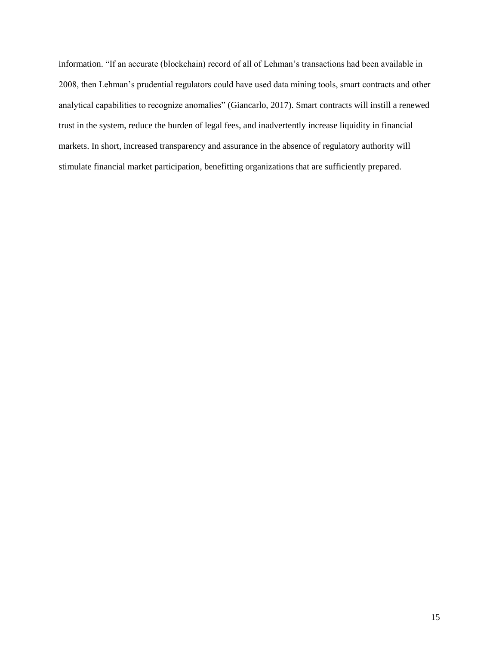information. "If an accurate (blockchain) record of all of Lehman's transactions had been available in 2008, then Lehman's prudential regulators could have used data mining tools, smart contracts and other analytical capabilities to recognize anomalies" (Giancarlo, 2017). Smart contracts will instill a renewed trust in the system, reduce the burden of legal fees, and inadvertently increase liquidity in financial markets. In short, increased transparency and assurance in the absence of regulatory authority will stimulate financial market participation, benefitting organizations that are sufficiently prepared.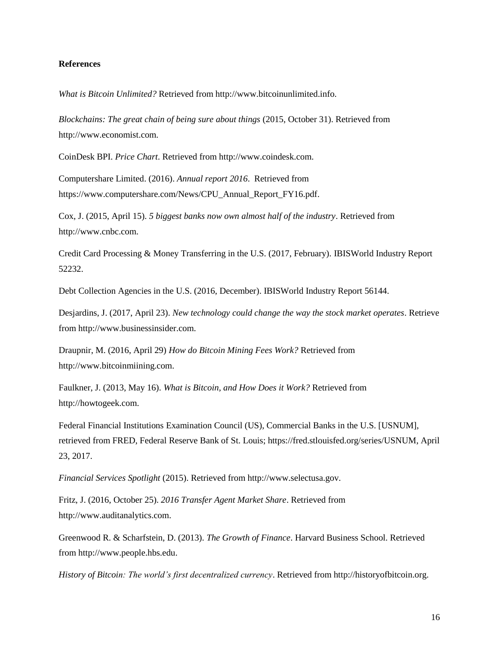## **References**

*What is Bitcoin Unlimited?* Retrieved from http://www.bitcoinunlimited.info.

*Blockchains: The great chain of being sure about things* (2015, October 31). Retrieved from http://www.economist.com.

CoinDesk BPI. *Price Chart*. Retrieved from http://www.coindesk.com.

Computershare Limited. (2016). *Annual report 2016*. Retrieved from https://www.computershare.com/News/CPU\_Annual\_Report\_FY16.pdf.

Cox, J. (2015, April 15). *5 biggest banks now own almost half of the industry*. Retrieved from http://www.cnbc.com.

Credit Card Processing & Money Transferring in the U.S. (2017, February). IBISWorld Industry Report 52232.

Debt Collection Agencies in the U.S. (2016, December). IBISWorld Industry Report 56144.

Desjardins, J. (2017, April 23). *New technology could change the way the stock market operates*. Retrieve from http://www.businessinsider.com.

Draupnir, M. (2016, April 29) *How do Bitcoin Mining Fees Work?* Retrieved from http://www.bitcoinmiining.com.

Faulkner, J. (2013, May 16). *What is Bitcoin, and How Does it Work?* Retrieved from http://howtogeek.com.

Federal Financial Institutions Examination Council (US), Commercial Banks in the U.S. [USNUM], retrieved from FRED, Federal Reserve Bank of St. Louis; https://fred.stlouisfed.org/series/USNUM, April 23, 2017.

*Financial Services Spotlight* (2015). Retrieved from http://www.selectusa.gov.

Fritz, J. (2016, October 25). *2016 Transfer Agent Market Share*. Retrieved from http://www.auditanalytics.com.

Greenwood R. & Scharfstein, D. (2013). *The Growth of Finance*. Harvard Business School. Retrieved from http://www.people.hbs.edu.

*History of Bitcoin: The world's first decentralized currency*. Retrieved from http://historyofbitcoin.org.